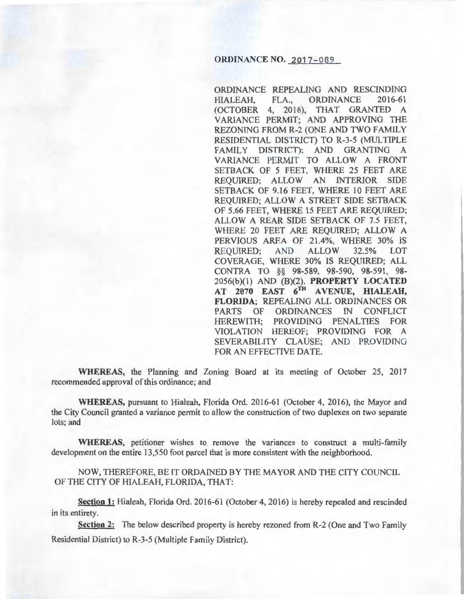### **ORDINANCE NO. 2017-089**

ORDINANCE REPEALING AND RESCINDING HIALEAH, FLA., ORDINANCE 2016-61 (OCTOBER 4, 2016), THAT GRANTED A VARIANCE PERMIT; AND APPROVING THE REZONING FROM R-2 (ONE AND TWO FAMILY RESIDENTIAL DISTRICT) TO R-3-5 (MULTIPLE FAMILY DISTRICT); AND GRANTING A VARIANCE PERMIT TO ALLOW A FRONT SETBACK OF 5 FEET, WHERE 25 FEET ARE REQUIRED; ALLOW AN INTERIOR SIDE SETBACK OF 9.16 FEET, WHERE 10 FEET ARE REQUIRED; ALLOW A STREET SIDE SETBACK OF 5.66 FEET, WHERE 15 FEET ARE REQUIRED; ALLOW A REAR SIDE SETBACK OF 7.5 FEET, WHERE 20 FEET ARE REQUIRED; ALLOW A PERVIOUS AREA OF 21.4%, WHERE 30% IS REQUIRED; AND ALLOW 32.5% LOT COVERAGE, WHERE 30% IS REQUIRED; ALL CONTRA TO §§ 98-589, 98-590, 98-591, 98-2056(b)(l) AND (B)(2). PROPERTY LOCATED AT 2070 EAST 6TH AVENUE, HIALEAH, FLORIDA; REPEALING ALL ORDINANCES OR PARTS OF ORDINANCES IN CONFLICT HEREWITH; PROVIDING PENALTIES FOR VIOLATION HEREOF; PROVIDING FOR A SEVERABILITY CLAUSE; AND PROVIDING FOR AN EFFECTIVE DATE.

WHEREAS, the Planning and Zoning Board at its meeting of October 25, 2017 recommended approval of this ordinance; and

WHEREAS, pursuant to Hialeah, Florida Ord. 2016-61 (October 4, 2016), the Mayor and the City Council granted a variance permit to allow the construction of two duplexes on two separate lots; and

WHEREAS, petitioner wishes to remove the variances to construct a multi-family development on the entire 13,550 foot parcel that is more consistent with the neighborhood.

NOW, THEREFORE, BE IT ORDAINED BY THE MAYOR AND THE CITY COUNCIL OF THE CITY OF HIALEAH, FLORIDA, THAT:

Section 1: Hialeah, Florida Ord. 2016-61 (October 4, 2016) is hereby repealed and rescinded in its entirety.

Section 2: The below described property is hereby rezoned from R-2 (One and Two Family Residential District) to R-3-5 (Multiple Family District).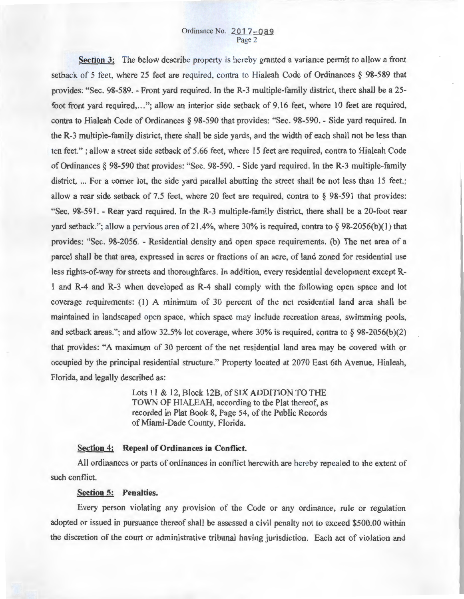**Section** 3: The below describe property is hereby granted a variance permit to allow a front setback of 5 feet, where 25 feet are required, contra to Hialeah Code of Ordinances § 98-589 that provides: "Sec. 98-589. - Front yard required. In the R-3 multiple-family district, there shall be a 25foot front yard required,..."; allow an interior side setback of 9.16 feet, where 10 feet are required, contra to Hialeah Code of Ordinances § 98-590 that provides: "Sec. 98-590. - Side yard required. In the R-3 multiple-family district, there shall be side yards, and the width of each shall not be less than ten feet." ; allow a street side setback of 5.66 feet, where 15 feet are required, contra to Hialeah Code of Ordinances § 98-590 that provides: "Sec. 98-590. - Side yard required. In the R-3 multiple-family district, ... For a corner lot, the side yard parallel abutting the street shall be not less than 15 feet.; allow a rear side setback of 7.5 feet, where 20 feet are required, contra to § 98-591 that provides: "Sec. 98-591. -Rear yard required. In the R-3 multiple-family district, there shall be a 20-foot rear yard setback."; allow a pervious area of 21.4%, where 30% is required, contra to  $\S$  98-2056(b)(1) that provides: "Sec. 98-2056. - Residential density and open space requirements. (b) The net area of a parcel shall be that area, expressed in acres or fractions of an acre, of land zoned for residential use less rights-of-way for streets and thoroughfares. In addition, every residential development except R-1 and R-4 and R-3 when developed as R-4 shall comply with the following open space and lot coverage requirements: (1) A minimum of 30 percent of the net residential land area shall be maintained in landscaped open space, which space may include recreation areas, swimming pools, and setback areas."; and allow 32.5% lot coverage, where 30% is required, contra to  $\S$  98-2056(b)(2) that provides: "A maximum of 30 percent of the net residential land area may be covered with or occupied by the principal residential structure." Property located at 2070 East 6th A venue, Hialeah, Florida, and legally described as:

> Lots 11 & 12, Block 12B, of SIX ADDITION TO THE TOWN OF HIALEAH, according to the Plat thereof, as recorded in Plat Book 8, Page 54, of the Public Records of Miami-Dade County, Florida.

### **Section 4: Repeal of Ordinances in Conflict.**

All ordinances or parts of ordinances in conflict herewith are hereby repealed to the extent of such conflict.

#### **Section 5: Penalties.**

Every person violating any provision of the Code or any ordinance, rule or regulation adopted or issued in pursuance thereof shall be assessed a civil penalty not to exceed \$500.00 within the discretion of the court or administrative tribunal having jurisdiction. Each act of violation and